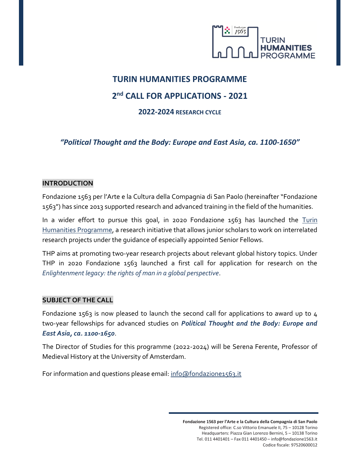

# **TURIN HUMANITIES PROGRAMME 2 nd CALL FOR APPLICATIONS - 2021**

# **2022-2024 RESEARCH CYCLE**

*"Political Thought and the Body: Europe and East Asia, ca. 1100-1650"*

### **INTRODUCTION**

Fondazione 1563 per l'Arte e la Cultura della Compagnia di San Paolo (hereinafter "Fondazione 1563") has since 2013 supported research and advanced training in the field of the humanities.

In a wider effort to pursue this goal, in 2020 Fondazione 1563 has launched the Turin [Humanities Programme,](https://www.fondazione1563.it/en/thp/) a research initiative that allows junior scholars to work on interrelated research projects under the guidance of especially appointed Senior Fellows.

THP aims at promoting two-year research projects about relevant global history topics. Under THP in 2020 Fondazione 1563 launched a first call for application for research on the *Enlightenment legacy: the rights of man in a global perspective*.

### **SUBJECT OF THE CALL**

Fondazione 1563 is now pleased to launch the second call for applications to award up to 4 two-year fellowships for advanced studies on *Political Thought and the Body: Europe and East Asia, ca. 1100-1650*.

The Director of Studies for this programme (2022-2024) will be Serena Ferente, Professor of Medieval History at the University of Amsterdam.

For information and questions please email[: info@fondazione1563.it](mailto:info@fondazione1563.it?subject=THP%202021%20Call%20for%20applications)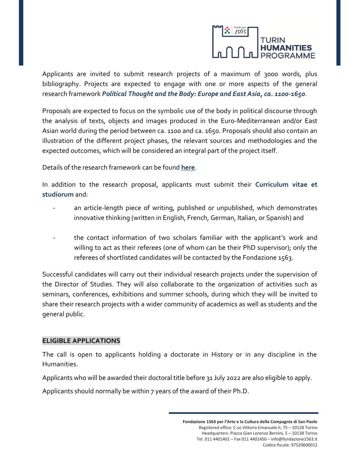

Applicants are invited to submit research projects of a maximum of 3000 words, plus bibliography. Projects are expected to engage with one or more aspects of the general research framework *Political Thought and the Body: Europe and East Asia, ca. 1100-1650*.

Proposals are expected to focus on the symbolic use of the body in political discourse through the analysis of texts, objects and images produced in the Euro-Mediterranean and/or East Asian world during the period between ca. 1100 and ca. 1650. Proposals should also contain an illustration of the different project phases, the relevant sources and methodologies and the expected outcomes, which will be considered an integral part of the project itself.

Details of the research framework can be found **[here](https://www.fondazione1563.it/en/thp/research-projects/research-project-2021/)**.

In addition to the research proposal, applicants must submit their **Curriculum vitae et studiorum** and:

- an article-length piece of writing, published or unpublished, which demonstrates innovative thinking (written in English, French, German, Italian, or Spanish) and
- the contact information of two scholars familiar with the applicant's work and willing to act as their referees (one of whom can be their PhD supervisor); only the referees of shortlisted candidates will be contacted by the Fondazione 1563.

Successful candidates will carry out their individual research projects under the supervision of the Director of Studies. They will also collaborate to the organization of activities such as seminars, conferences, exhibitions and summer schools, during which they will be invited to share their research projects with a wider community of academics as well as students and the general public.

### **ELIGIBLE APPLICATIONS**

The call is open to applicants holding a doctorate in History or in any discipline in the Humanities.

Applicants who will be awarded their doctoral title before 31 July 2022 are also eligible to apply.

Applicants should normally be within 7 years of the award of their Ph.D.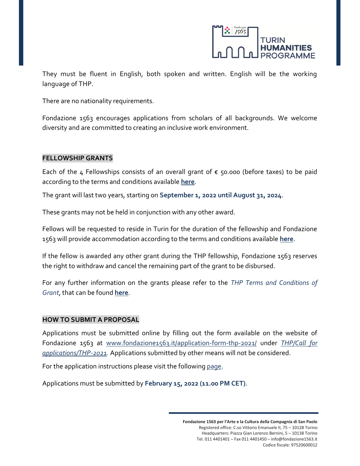

They must be fluent in English, both spoken and written. English will be the working language of THP.

There are no nationality requirements.

Fondazione 1563 encourages applications from scholars of all backgrounds. We welcome diversity and are committed to creating an inclusive work environment.

## **FELLOWSHIP GRANTS**

Each of the 4 Fellowships consists of an overall grant of  $\epsilon$  50.000 (before taxes) to be paid according to the terms and conditions available **[here](https://www.fondazione1563.it/en/thp/call-for-applications-thp/terms/)**.

The grant will last two years, starting on **September 1, 2022 until August 31, 2024**.

These grants may not be held in conjunction with any other award.

Fellows will be requested to reside in Turin for the duration of the fellowship and Fondazione 1563 will provide accommodation according to the terms and conditions available **[here](https://www.fondazione1563.it/en/thp/call-for-applications-thp/terms/)**.

If the fellow is awarded any other grant during the THP fellowship, Fondazione 1563 reserves the right to withdraw and cancel the remaining part of the grant to be disbursed.

For any further information on the grants please refer to the *THP Terms and Conditions of Grant*, that can be found **[here](https://www.fondazione1563.it/en/thp/call-for-applications-thp/terms/)**.

#### **HOW TO SUBMIT A PROPOSAL**

Applications must be submitted online by filling out the form available on the website of Fondazione 1563 at [www.fondazione1563.it/application-form-thp-2021/](https://www.fondazione1563.it/application-form-thp-2021/) under *[THP/Call for](https://www.fondazione1563.it/en/thp/call-for-applications-thp/thp-2021/)  [applications/THP-2021.](https://www.fondazione1563.it/en/thp/call-for-applications-thp/thp-2021/)* Applications submitted by other means will not be considered.

For the application instructions please visit the following [page.](https://www.fondazione1563.it/application-form-thp-2021/)

Applications must be submitted by **February 15, 2022 (11.00 PM CET)**.